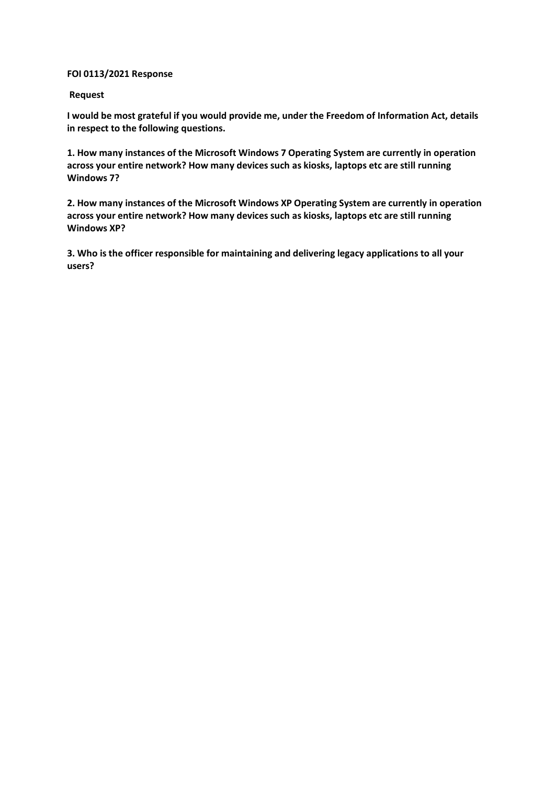## **FOI 0113/2021 Response**

## **Request**

**I would be most grateful if you would provide me, under the Freedom of Information Act, details in respect to the following questions.**

**1. How many instances of the Microsoft Windows 7 Operating System are currently in operation across your entire network? How many devices such as kiosks, laptops etc are still running Windows 7?**

**2. How many instances of the Microsoft Windows XP Operating System are currently in operation across your entire network? How many devices such as kiosks, laptops etc are still running Windows XP?**

**3. Who is the officer responsible for maintaining and delivering legacy applications to all your users?**